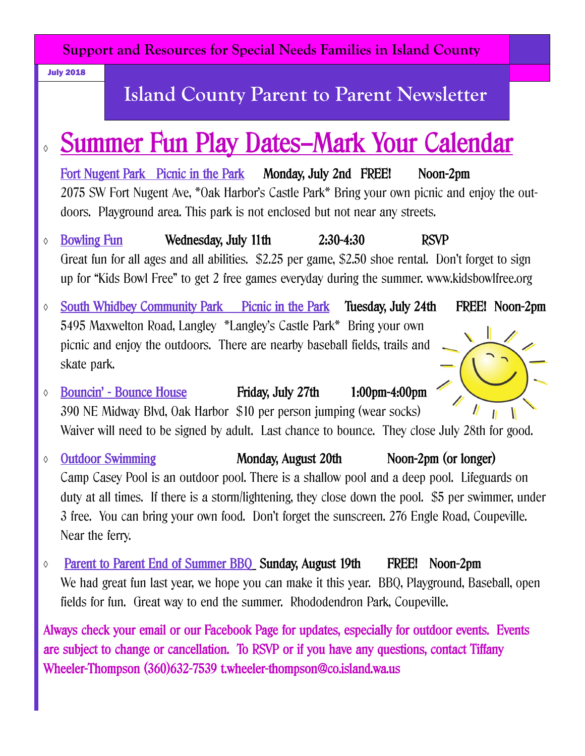**Support and Resources for Special Needs Families in Island County**

July 2018

## **Island County Parent to Parent Newsletter**

# Summer Fun Play Dates—Mark Your Calendar

Fort Nugent Park Picnic in the Park Monday, July 2nd FREE! Noon-2pm 2075 SW Fort Nugent Ave, \*Oak Harbor's Castle Park\* Bring your own picnic and enjoy the outdoors. Playground area. This park is not enclosed but not near any streets.

- Bowling Fun Wednesday, July 11th 2:30-4:30 RSVP Great fun for all ages and all abilities. \$2.25 per game, \$2.50 shoe rental. Don't forget to sign up for "Kids Bowl Free" to get 2 free games everyday during the summer. www.kidsbowlfree.org
- South Whidbey Community Park Picnic in the Park Tuesday, July 24th FREE! Noon-2pm 5495 Maxwelton Road, Langley \*Langley's Castle Park\* Bring your own picnic and enjoy the outdoors. There are nearby baseball fields, trails and skate park.
- Bouncin' Bounce House Friday, July 27th 1:00pm-4:00pm 390 NE Midway Blvd, Oak Harbor \$10 per person jumping (wear socks) ۱ Waiver will need to be signed by adult. Last chance to bounce. They close July 28th for good.
- Outdoor Swimming Monday, August 20th Noon-2pm (or longer) Camp Casey Pool is an outdoor pool. There is a shallow pool and a deep pool. Lifeguards on duty at all times. If there is a storm/lightening, they close down the pool. \$5 per swimmer, under 3 free. You can bring your own food. Don't forget the sunscreen. 276 Engle Road, Coupeville. Near the ferry.
- Parent to Parent End of Summer BBQ Sunday, August 19th FREE! Noon-2pm We had great fun last year, we hope you can make it this year. BBQ, Playground, Baseball, open fields for fun. Great way to end the summer. Rhododendron Park, Coupeville.

Always check your email or our Facebook Page for updates, especially for outdoor events. Events are subject to change or cancellation. To RSVP or if you have any questions, contact Tiffany Wheeler-Thompson (360)632-7539 t.wheeler-thompson@co.island.wa.us